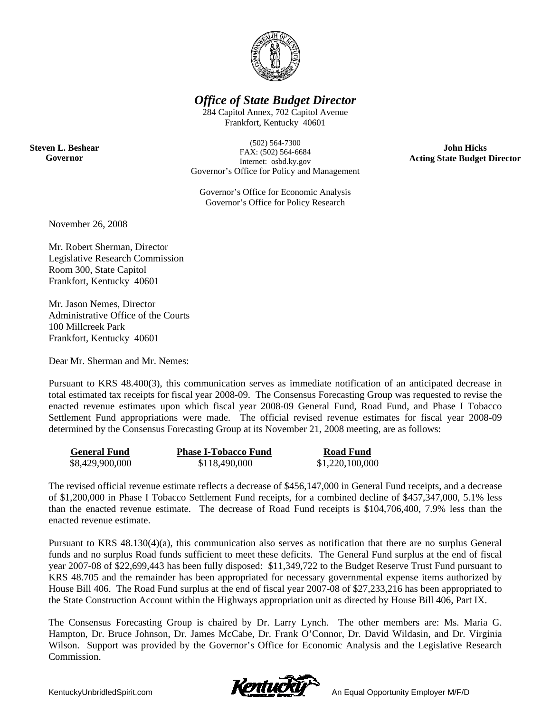

### *Office of State Budget Director*

284 Capitol Annex, 702 Capitol Avenue Frankfort, Kentucky 40601

(502) 564-7300 FAX: (502) 564-6684 Internet: osbd.ky.gov Governor's Office for Policy and Management

Governor's Office for Economic Analysis Governor's Office for Policy Research

**John Hicks Acting State Budget Director** 

November 26, 2008

**Steven L. Beshear Governor** 

> Mr. Robert Sherman, Director Legislative Research Commission Room 300, State Capitol Frankfort, Kentucky 40601

Mr. Jason Nemes, Director Administrative Office of the Courts 100 Millcreek Park Frankfort, Kentucky 40601

Dear Mr. Sherman and Mr. Nemes:

Pursuant to KRS 48.400(3), this communication serves as immediate notification of an anticipated decrease in total estimated tax receipts for fiscal year 2008-09. The Consensus Forecasting Group was requested to revise the enacted revenue estimates upon which fiscal year 2008-09 General Fund, Road Fund, and Phase I Tobacco Settlement Fund appropriations were made. The official revised revenue estimates for fiscal year 2008-09 determined by the Consensus Forecasting Group at its November 21, 2008 meeting, are as follows:

| <b>General Fund</b> | <b>Phase I-Tobacco Fund</b> | <b>Road Fund</b> |
|---------------------|-----------------------------|------------------|
| \$8,429,900,000     | \$118,490,000               | \$1,220,100,000  |

The revised official revenue estimate reflects a decrease of \$456,147,000 in General Fund receipts, and a decrease of \$1,200,000 in Phase I Tobacco Settlement Fund receipts, for a combined decline of \$457,347,000, 5.1% less than the enacted revenue estimate. The decrease of Road Fund receipts is \$104,706,400, 7.9% less than the enacted revenue estimate.

Pursuant to KRS 48.130(4)(a), this communication also serves as notification that there are no surplus General funds and no surplus Road funds sufficient to meet these deficits. The General Fund surplus at the end of fiscal year 2007-08 of \$22,699,443 has been fully disposed: \$11,349,722 to the Budget Reserve Trust Fund pursuant to KRS 48.705 and the remainder has been appropriated for necessary governmental expense items authorized by House Bill 406. The Road Fund surplus at the end of fiscal year 2007-08 of \$27,233,216 has been appropriated to the State Construction Account within the Highways appropriation unit as directed by House Bill 406, Part IX.

The Consensus Forecasting Group is chaired by Dr. Larry Lynch. The other members are: Ms. Maria G. Hampton, Dr. Bruce Johnson, Dr. James McCabe, Dr. Frank O'Connor, Dr. David Wildasin, and Dr. Virginia Wilson. Support was provided by the Governor's Office for Economic Analysis and the Legislative Research Commission.

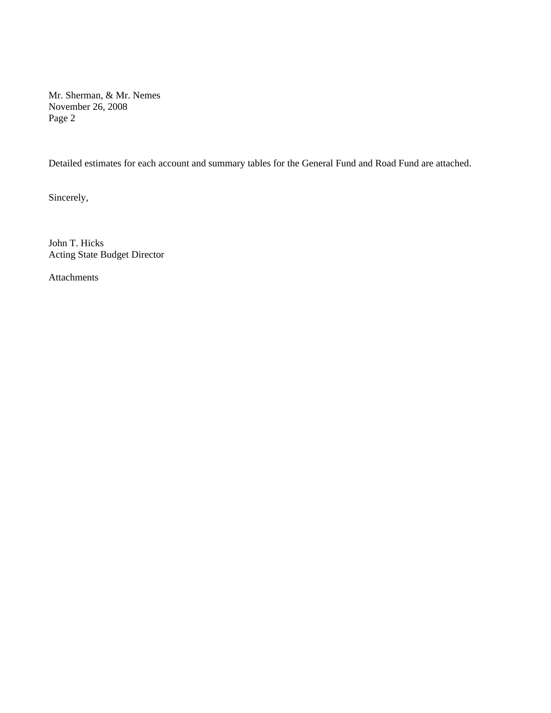Mr. Sherman, & Mr. Nemes November 26, 2008 Page 2

Detailed estimates for each account and summary tables for the General Fund and Road Fund are attached.

Sincerely,

John T. Hicks Acting State Budget Director

Attachments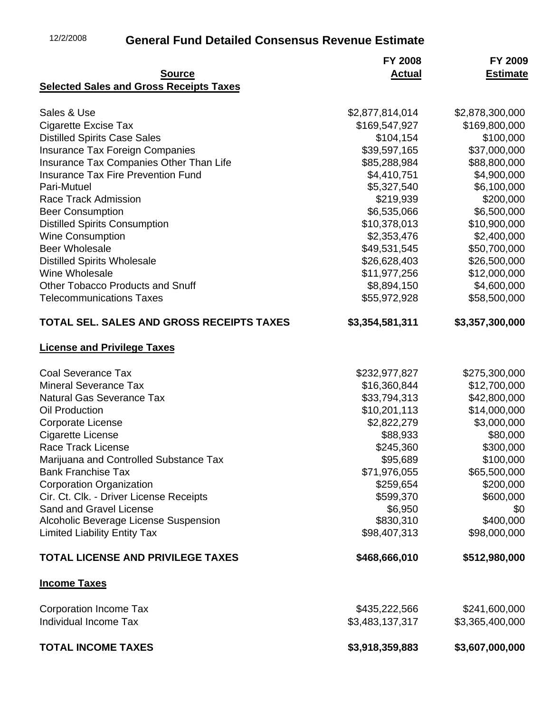## 12/2/2008 **General Fund Detailed Consensus Revenue Estimate**

|                                                | <b>FY 2008</b>  | FY 2009         |
|------------------------------------------------|-----------------|-----------------|
| <b>Source</b>                                  | <b>Actual</b>   | <b>Estimate</b> |
| <b>Selected Sales and Gross Receipts Taxes</b> |                 |                 |
| Sales & Use                                    | \$2,877,814,014 | \$2,878,300,000 |
| <b>Cigarette Excise Tax</b>                    | \$169,547,927   | \$169,800,000   |
| <b>Distilled Spirits Case Sales</b>            | \$104,154       | \$100,000       |
| <b>Insurance Tax Foreign Companies</b>         | \$39,597,165    | \$37,000,000    |
| Insurance Tax Companies Other Than Life        | \$85,288,984    | \$88,800,000    |
| <b>Insurance Tax Fire Prevention Fund</b>      | \$4,410,751     | \$4,900,000     |
| Pari-Mutuel                                    | \$5,327,540     | \$6,100,000     |
| <b>Race Track Admission</b>                    | \$219,939       | \$200,000       |
| <b>Beer Consumption</b>                        | \$6,535,066     | \$6,500,000     |
| <b>Distilled Spirits Consumption</b>           | \$10,378,013    | \$10,900,000    |
| <b>Wine Consumption</b>                        | \$2,353,476     | \$2,400,000     |
| <b>Beer Wholesale</b>                          | \$49,531,545    | \$50,700,000    |
| <b>Distilled Spirits Wholesale</b>             | \$26,628,403    | \$26,500,000    |
| Wine Wholesale                                 | \$11,977,256    | \$12,000,000    |
| <b>Other Tobacco Products and Snuff</b>        | \$8,894,150     | \$4,600,000     |
| <b>Telecommunications Taxes</b>                | \$55,972,928    | \$58,500,000    |
| TOTAL SEL. SALES AND GROSS RECEIPTS TAXES      | \$3,354,581,311 | \$3,357,300,000 |
| <b>License and Privilege Taxes</b>             |                 |                 |
| <b>Coal Severance Tax</b>                      | \$232,977,827   | \$275,300,000   |
| <b>Mineral Severance Tax</b>                   | \$16,360,844    | \$12,700,000    |
| <b>Natural Gas Severance Tax</b>               | \$33,794,313    | \$42,800,000    |
| <b>Oil Production</b>                          | \$10,201,113    | \$14,000,000    |
| Corporate License                              | \$2,822,279     | \$3,000,000     |
| <b>Cigarette License</b>                       | \$88,933        | \$80,000        |
| <b>Race Track License</b>                      | \$245,360       | \$300,000       |
| Marijuana and Controlled Substance Tax         | \$95,689        | \$100,000       |
| <b>Bank Franchise Tax</b>                      | \$71,976,055    | \$65,500,000    |
| <b>Corporation Organization</b>                | \$259,654       | \$200,000       |
| Cir. Ct. Clk. - Driver License Receipts        | \$599,370       | \$600,000       |
| Sand and Gravel License                        | \$6,950         | \$0             |
| Alcoholic Beverage License Suspension          | \$830,310       | \$400,000       |
| <b>Limited Liability Entity Tax</b>            | \$98,407,313    | \$98,000,000    |
| <b>TOTAL LICENSE AND PRIVILEGE TAXES</b>       | \$468,666,010   | \$512,980,000   |
| <b>Income Taxes</b>                            |                 |                 |
| <b>Corporation Income Tax</b>                  | \$435,222,566   | \$241,600,000   |
| Individual Income Tax                          | \$3,483,137,317 | \$3,365,400,000 |
| <b>TOTAL INCOME TAXES</b>                      | \$3,918,359,883 | \$3,607,000,000 |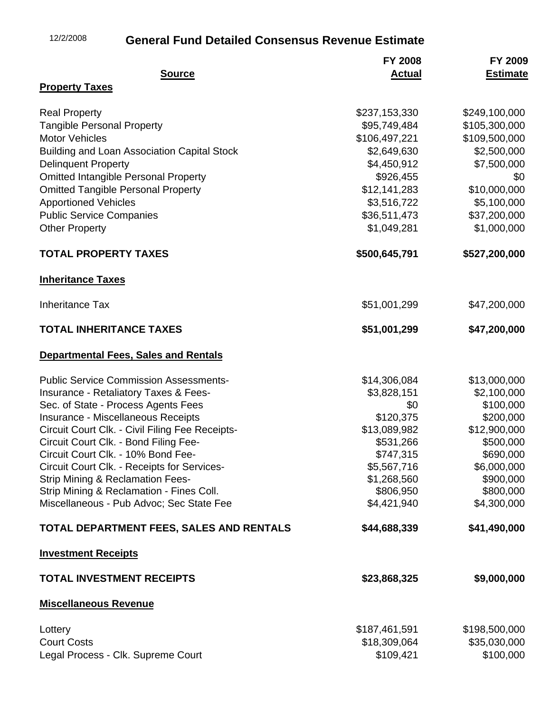## 12/2/2008 **General Fund Detailed Consensus Revenue Estimate**

|                                                    | <b>FY 2008</b> | FY 2009         |
|----------------------------------------------------|----------------|-----------------|
| <b>Source</b>                                      | <b>Actual</b>  | <b>Estimate</b> |
| <b>Property Taxes</b>                              |                |                 |
| <b>Real Property</b>                               | \$237,153,330  | \$249,100,000   |
| <b>Tangible Personal Property</b>                  | \$95,749,484   | \$105,300,000   |
| <b>Motor Vehicles</b>                              | \$106,497,221  | \$109,500,000   |
| <b>Building and Loan Association Capital Stock</b> | \$2,649,630    | \$2,500,000     |
| <b>Delinquent Property</b>                         | \$4,450,912    | \$7,500,000     |
| <b>Omitted Intangible Personal Property</b>        | \$926,455      | \$0             |
| <b>Omitted Tangible Personal Property</b>          | \$12,141,283   | \$10,000,000    |
| <b>Apportioned Vehicles</b>                        | \$3,516,722    | \$5,100,000     |
| <b>Public Service Companies</b>                    | \$36,511,473   | \$37,200,000    |
| <b>Other Property</b>                              | \$1,049,281    | \$1,000,000     |
| <b>TOTAL PROPERTY TAXES</b>                        | \$500,645,791  | \$527,200,000   |
| <b>Inheritance Taxes</b>                           |                |                 |
| <b>Inheritance Tax</b>                             | \$51,001,299   | \$47,200,000    |
| <b>TOTAL INHERITANCE TAXES</b>                     | \$51,001,299   | \$47,200,000    |
| <b>Departmental Fees, Sales and Rentals</b>        |                |                 |
| <b>Public Service Commission Assessments-</b>      | \$14,306,084   | \$13,000,000    |
| <b>Insurance - Retaliatory Taxes &amp; Fees-</b>   | \$3,828,151    | \$2,100,000     |
| Sec. of State - Process Agents Fees                | \$0            | \$100,000       |
| Insurance - Miscellaneous Receipts                 | \$120,375      | \$200,000       |
| Circuit Court Clk. - Civil Filing Fee Receipts-    | \$13,089,982   | \$12,900,000    |
| Circuit Court Clk. - Bond Filing Fee-              | \$531,266      | \$500,000       |
| Circuit Court Clk. - 10% Bond Fee-                 | \$747,315      | \$690,000       |
| Circuit Court Clk. - Receipts for Services-        | \$5,567,716    | \$6,000,000     |
| <b>Strip Mining &amp; Reclamation Fees-</b>        | \$1,268,560    | \$900,000       |
| Strip Mining & Reclamation - Fines Coll.           | \$806,950      | \$800,000       |
| Miscellaneous - Pub Advoc; Sec State Fee           | \$4,421,940    | \$4,300,000     |
| TOTAL DEPARTMENT FEES, SALES AND RENTALS           | \$44,688,339   | \$41,490,000    |
| <b>Investment Receipts</b>                         |                |                 |
| <b>TOTAL INVESTMENT RECEIPTS</b>                   | \$23,868,325   | \$9,000,000     |
| <b>Miscellaneous Revenue</b>                       |                |                 |
| Lottery                                            | \$187,461,591  | \$198,500,000   |
| <b>Court Costs</b>                                 | \$18,309,064   | \$35,030,000    |
| Legal Process - Clk. Supreme Court                 | \$109,421      | \$100,000       |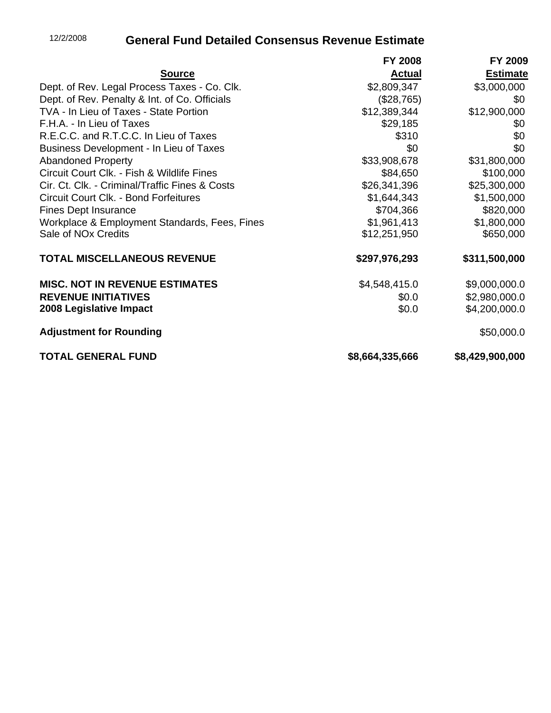# 12/2/2008 **General Fund Detailed Consensus Revenue Estimate**

|                                                | <b>FY 2008</b>  | FY 2009         |
|------------------------------------------------|-----------------|-----------------|
| <b>Source</b>                                  | <b>Actual</b>   | <b>Estimate</b> |
| Dept. of Rev. Legal Process Taxes - Co. Clk.   | \$2,809,347     | \$3,000,000     |
| Dept. of Rev. Penalty & Int. of Co. Officials  | (\$28,765)      | \$0             |
| TVA - In Lieu of Taxes - State Portion         | \$12,389,344    | \$12,900,000    |
| F.H.A. - In Lieu of Taxes                      | \$29,185        | \$0             |
| R.E.C.C. and R.T.C.C. In Lieu of Taxes         | \$310           | \$0             |
| Business Development - In Lieu of Taxes        | \$0             | \$0             |
| <b>Abandoned Property</b>                      | \$33,908,678    | \$31,800,000    |
| Circuit Court Clk. - Fish & Wildlife Fines     | \$84,650        | \$100,000       |
| Cir. Ct. Clk. - Criminal/Traffic Fines & Costs | \$26,341,396    | \$25,300,000    |
| Circuit Court Clk. - Bond Forfeitures          | \$1,644,343     | \$1,500,000     |
| <b>Fines Dept Insurance</b>                    | \$704,366       | \$820,000       |
| Workplace & Employment Standards, Fees, Fines  | \$1,961,413     | \$1,800,000     |
| Sale of NO <sub>x</sub> Credits                | \$12,251,950    | \$650,000       |
| <b>TOTAL MISCELLANEOUS REVENUE</b>             | \$297,976,293   | \$311,500,000   |
| <b>MISC. NOT IN REVENUE ESTIMATES</b>          | \$4,548,415.0   | \$9,000,000.0   |
| <b>REVENUE INITIATIVES</b>                     | \$0.0           | \$2,980,000.0   |
| 2008 Legislative Impact                        | \$0.0           | \$4,200,000.0   |
| <b>Adjustment for Rounding</b>                 |                 | \$50,000.0      |
| <b>TOTAL GENERAL FUND</b>                      | \$8,664,335,666 | \$8,429,900,000 |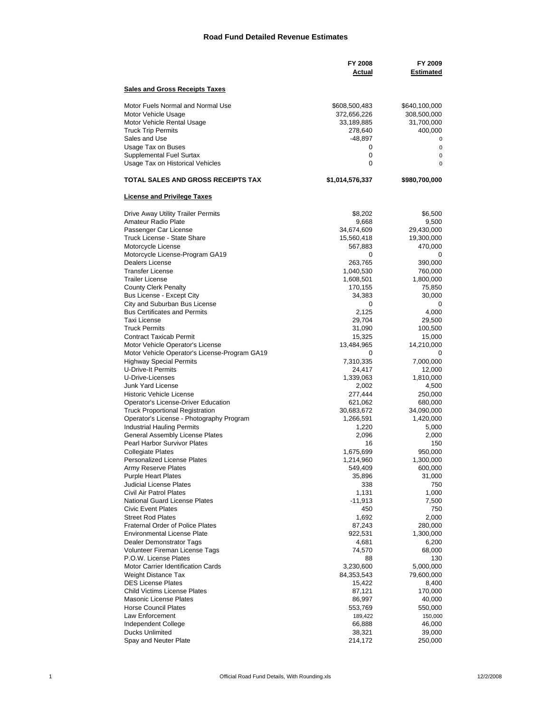### **Road Fund Detailed Revenue Estimates**

|                                                             | <b>FY 2008</b><br>Actual | FY 2009<br>Estimated |
|-------------------------------------------------------------|--------------------------|----------------------|
| <b>Sales and Gross Receipts Taxes</b>                       |                          |                      |
| Motor Fuels Normal and Normal Use                           | \$608,500,483            | \$640,100,000        |
| Motor Vehicle Usage                                         | 372,656,226              | 308,500,000          |
| Motor Vehicle Rental Usage                                  | 33,189,885               | 31,700,000           |
| <b>Truck Trip Permits</b>                                   | 278,640                  | 400,000              |
| Sales and Use<br>Usage Tax on Buses                         | -48,897<br>0             | 0<br>$\mathbf 0$     |
| Supplemental Fuel Surtax                                    | 0                        | 0                    |
| Usage Tax on Historical Vehicles                            | 0                        | $\mathbf 0$          |
| TOTAL SALES AND GROSS RECEIPTS TAX                          | \$1,014,576,337          | \$980,700,000        |
| <b>License and Privilege Taxes</b>                          |                          |                      |
| Drive Away Utility Trailer Permits                          | \$8,202                  | \$6,500              |
| Amateur Radio Plate                                         | 9,668                    | 9,500                |
| Passenger Car License                                       | 34,674,609               | 29,430,000           |
| Truck License - State Share                                 | 15,560,418               | 19,300,000           |
| Motorcycle License                                          | 567,883                  | 470,000              |
| Motorcycle License-Program GA19<br>Dealers License          | 0<br>263,765             | 0                    |
| <b>Transfer License</b>                                     | 1,040,530                | 390,000<br>760,000   |
| <b>Trailer License</b>                                      | 1,608,501                | 1,800,000            |
| <b>County Clerk Penalty</b>                                 | 170,155                  | 75,850               |
| Bus License - Except City                                   | 34,383                   | 30,000               |
| City and Suburban Bus License                               | 0                        | 0                    |
| <b>Bus Certificates and Permits</b>                         | 2,125                    | 4,000                |
| Taxi License                                                | 29,704                   | 29,500               |
| <b>Truck Permits</b>                                        | 31,090                   | 100,500              |
| <b>Contract Taxicab Permit</b>                              | 15,325                   | 15,000               |
| Motor Vehicle Operator's License                            | 13,484,965               | 14,210,000           |
| Motor Vehicle Operator's License-Program GA19               | 0                        | 0                    |
| <b>Highway Special Permits</b><br><b>U-Drive-It Permits</b> | 7,310,335                | 7,000,000            |
| U-Drive-Licenses                                            | 24,417<br>1,339,063      | 12,000<br>1,810,000  |
| <b>Junk Yard License</b>                                    | 2,002                    | 4,500                |
| <b>Historic Vehicle License</b>                             | 277,444                  | 250,000              |
| Operator's License-Driver Education                         | 621,062                  | 680,000              |
| <b>Truck Proportional Registration</b>                      | 30,683,672               | 34,090,000           |
| Operator's License - Photography Program                    | 1,266,591                | 1,420,000            |
| <b>Industrial Hauling Permits</b>                           | 1,220                    | 5,000                |
| General Assembly License Plates                             | 2,096                    | 2,000                |
| Pearl Harbor Survivor Plates                                | 16                       | 150                  |
| <b>Collegiate Plates</b>                                    | 1,675,699                | 950,000              |
| <b>Personalized License Plates</b>                          | 1,214,960                | 1,300,000            |
| Army Reserve Plates                                         | 549,409                  | 600,000              |
| <b>Purple Heart Plates</b><br>Judicial License Plates       | 35,896                   | 31,000               |
| Civil Air Patrol Plates                                     | 338<br>1,131             | 750<br>1,000         |
| <b>National Guard License Plates</b>                        | $-11,913$                | 7,500                |
| <b>Civic Event Plates</b>                                   | 450                      | 750                  |
| <b>Street Rod Plates</b>                                    | 1,692                    | 2,000                |
| <b>Fraternal Order of Police Plates</b>                     | 87,243                   | 280,000              |
| <b>Environmental License Plate</b>                          | 922,531                  | 1,300,000            |
| Dealer Demonstrator Tags                                    | 4,681                    | 6,200                |
| Volunteer Fireman License Tags                              | 74,570                   | 68,000               |
| P.O.W. License Plates                                       | 88                       | 130                  |
| Motor Carrier Identification Cards                          | 3,230,600                | 5,000,000            |
| Weight Distance Tax                                         | 84,353,543               | 79,600,000           |
| <b>DES License Plates</b>                                   | 15,422                   | 8,400                |
| <b>Child Victims License Plates</b>                         | 87,121                   | 170,000              |
| <b>Masonic License Plates</b>                               | 86,997                   | 40,000               |
| <b>Horse Council Plates</b>                                 | 553,769                  | 550,000              |
| Law Enforcement                                             | 189,422                  | 150,000              |
| Independent College                                         | 66,888                   | 46,000               |
| <b>Ducks Unlimited</b><br>Spay and Neuter Plate             | 38,321<br>214,172        | 39,000               |
|                                                             |                          | 250,000              |